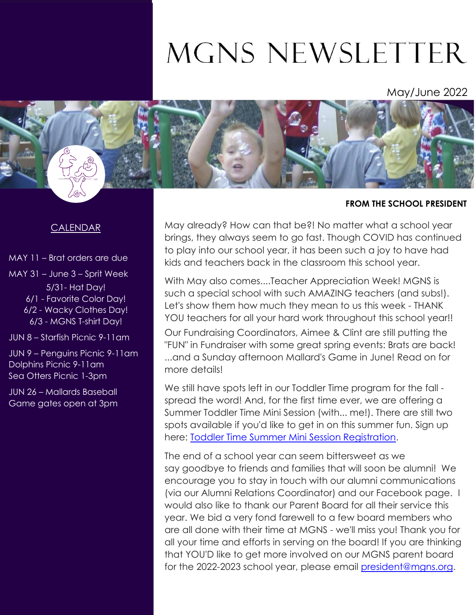# MGNS NEWSLETTER

May/June 2022



## **FROM THE SCHOOL PRESIDENT**

## CALENDAR

MAY 11 – Brat orders are due

MAY 31 – June 3 – Sprit Week 5/31- Hat Day! 6/1 - Favorite Color Day! 6/2 - Wacky Clothes Day! 6/3 - MGNS T-shirt Day!

JUN 8 – Starfish Picnic 9-11am

JUN 9 – Penguins Picnic 9-11am Dolphins Picnic 9-11am Sea Otters Picnic 1-3pm

JUN 26 – Mallards Baseball Game gates open at 3pm May already? How can that be?! No matter what a school year brings, they always seem to go fast. Though COVID has continued to play into our school year, it has been such a joy to have had kids and teachers back in the classroom this school year.

With May also comes....Teacher Appreciation Week! MGNS is such a special school with such AMAZING teachers (and subs!). Let's show them how much they mean to us this week - THANK YOU teachers for all your hard work throughout this school year!! Our Fundraising Coordinators, Aimee & Clint are still putting the "FUN" in Fundraiser with some great spring events: Brats are back! ...and a Sunday afternoon Mallard's Game in June! Read on for more details!

We still have spots left in our Toddler Time program for the fall spread the word! And, for the first time ever, we are offering a Summer Toddler Time Mini Session (with... me!). There are still two spots available if you'd like to get in on this summer fun. Sign up here: [Toddler Time Summer Mini Session Registration.](https://docs.google.com/forms/d/e/1FAIpQLScKYtx5w52qjla3waBI0SxbnY6N_TPJI6R0JIvLIoXpfyj0hA/viewform)

The end of a school year can seem bittersweet as we say goodbye to friends and families that will soon be alumni! We encourage you to stay in touch with our alumni communications (via our Alumni Relations Coordinator) and our Facebook page. I would also like to thank our Parent Board for all their service this year. We bid a very fond farewell to a few board members who are all done with their time at MGNS - we'll miss you! Thank you for all your time and efforts in serving on the board! If you are thinking that YOU'D like to get more involved on our MGNS parent board for the 2022-2023 school year, please email [president@mgns.org.](mailto:president@mgns.org)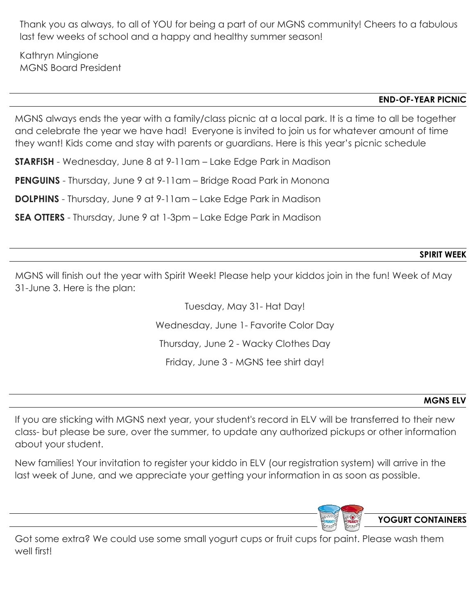Thank you as always, to all of YOU for being a part of our MGNS community! Cheers to a fabulous last few weeks of school and a happy and healthy summer season!

Kathryn Mingione MGNS Board President

#### **END-OF-YEAR PICNIC**

MGNS always ends the year with a family/class picnic at a local park. It is a time to all be together and celebrate the year we have had! Everyone is invited to join us for whatever amount of time they want! Kids come and stay with parents or guardians. Here is this year's picnic schedule

**STARFISH** - Wednesday, June 8 at 9-11am – Lake Edge Park in Madison

**PENGUINS** - Thursday, June 9 at 9-11am – Bridge Road Park in Monona

**DOLPHINS** - Thursday, June 9 at 9-11am – Lake Edge Park in Madison

**SEA OTTERS** - Thursday, June 9 at 1-3pm – Lake Edge Park in Madison

#### **SPIRIT WEEK**

MGNS will finish out the year with Spirit Week! Please help your kiddos join in the fun! Week of May 31-June 3. Here is the plan:

> Tuesday, May 31- Hat Day! Wednesday, June 1- Favorite Color Day Thursday, June 2 - Wacky Clothes Day Friday, June 3 - MGNS tee shirt day!

#### **MGNS ELV**

If you are sticking with MGNS next year, your student's record in ELV will be transferred to their new class- but please be sure, over the summer, to update any authorized pickups or other information about your student.

New families! Your invitation to register your kiddo in ELV (our registration system) will arrive in the last week of June, and we appreciate your getting your information in as soon as possible.



**YOGURT CONTAINERS**

Got some extra? We could use some small yogurt cups or fruit cups for paint. Please wash them well first!